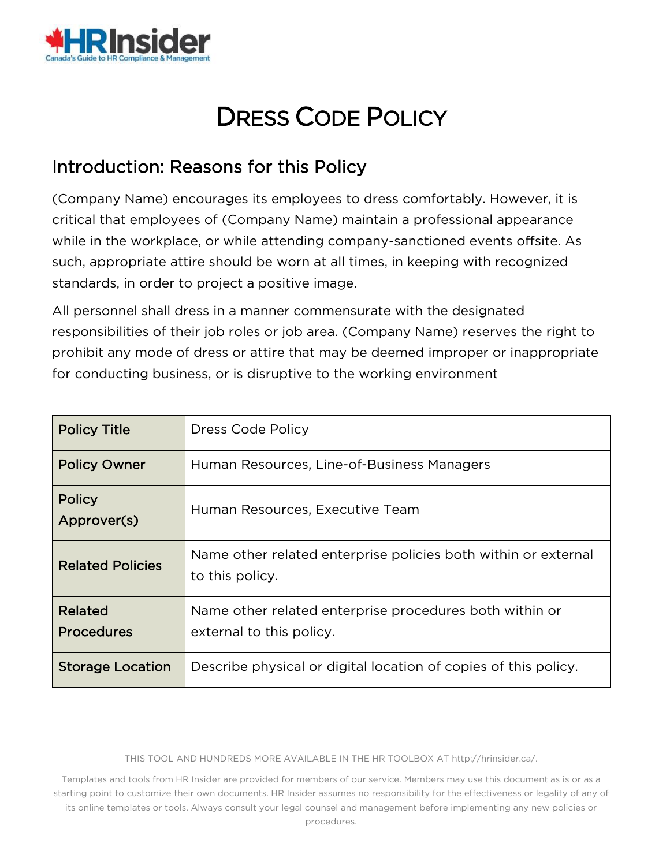

# DRESS CODE POLICY

## Introduction: Reasons for this Policy

(Company Name) encourages its employees to dress comfortably. However, it is critical that employees of (Company Name) maintain a professional appearance while in the workplace, or while attending company-sanctioned events offsite. As such, appropriate attire should be worn at all times, in keeping with recognized standards, in order to project a positive image.

All personnel shall dress in a manner commensurate with the designated responsibilities of their job roles or job area. (Company Name) reserves the right to prohibit any mode of dress or attire that may be deemed improper or inappropriate for conducting business, or is disruptive to the working environment

| <b>Policy Title</b>          | Dress Code Policy                                                                   |  |  |  |
|------------------------------|-------------------------------------------------------------------------------------|--|--|--|
| <b>Policy Owner</b>          | Human Resources, Line-of-Business Managers                                          |  |  |  |
| Policy<br>Approver(s)        | Human Resources, Executive Team                                                     |  |  |  |
| <b>Related Policies</b>      | Name other related enterprise policies both within or external<br>to this policy.   |  |  |  |
| Related<br><b>Procedures</b> | Name other related enterprise procedures both within or<br>external to this policy. |  |  |  |
| <b>Storage Location</b>      | Describe physical or digital location of copies of this policy.                     |  |  |  |

THIS TOOL AND HUNDREDS MORE AVAILABLE IN THE HR TOOLBOX AT http://hrinsider.ca/.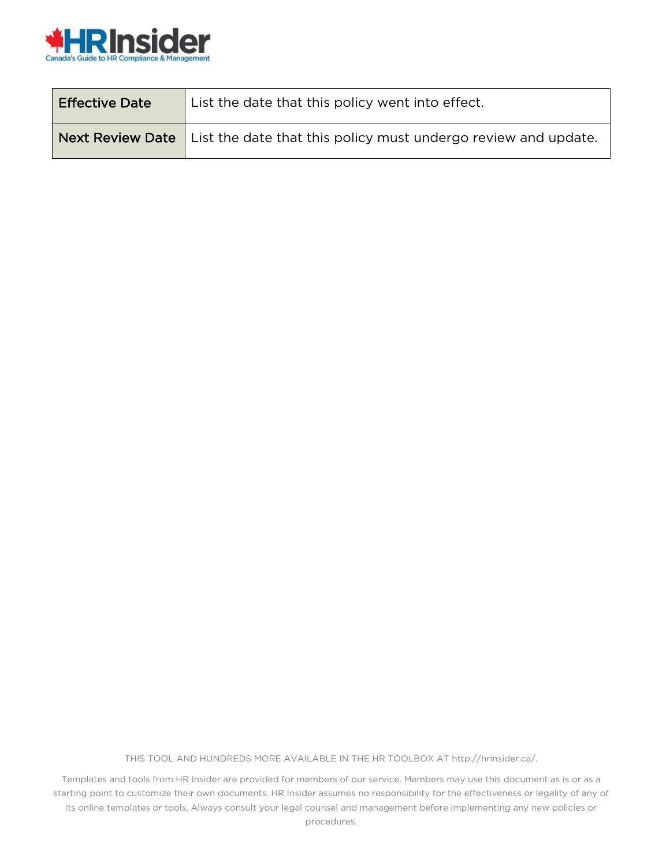

| <b>Effective Date</b> | List the date that this policy went into effect.                                  |  |  |
|-----------------------|-----------------------------------------------------------------------------------|--|--|
|                       | Next Review Date   List the date that this policy must undergo review and update. |  |  |

THIS TOOL AND HUNDREDS MORE AVAILABLE IN THE HR TOOLBOX AT http://hrinsider.ca/.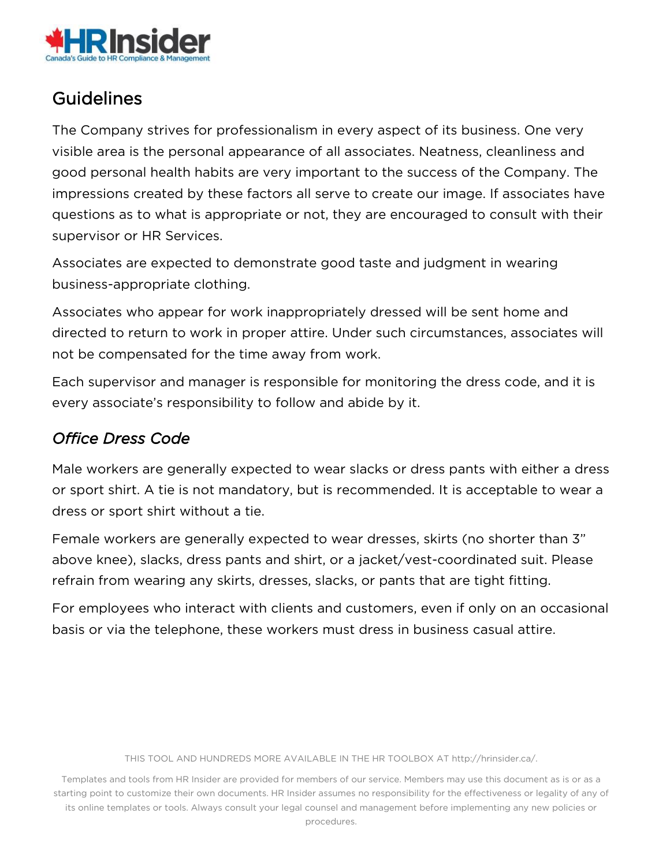

# **Guidelines**

The Company strives for professionalism in every aspect of its business. One very visible area is the personal appearance of all associates. Neatness, cleanliness and good personal health habits are very important to the success of the Company. The impressions created by these factors all serve to create our image. If associates have questions as to what is appropriate or not, they are encouraged to consult with their supervisor or HR Services.

Associates are expected to demonstrate good taste and judgment in wearing business-appropriate clothing.

Associates who appear for work inappropriately dressed will be sent home and directed to return to work in proper attire. Under such circumstances, associates will not be compensated for the time away from work.

Each supervisor and manager is responsible for monitoring the dress code, and it is every associate's responsibility to follow and abide by it.

### *Office Dress Code*

Male workers are generally expected to wear slacks or dress pants with either a dress or sport shirt. A tie is not mandatory, but is recommended. It is acceptable to wear a dress or sport shirt without a tie.

Female workers are generally expected to wear dresses, skirts (no shorter than 3" above knee), slacks, dress pants and shirt, or a jacket/vest-coordinated suit. Please refrain from wearing any skirts, dresses, slacks, or pants that are tight fitting.

For employees who interact with clients and customers, even if only on an occasional basis or via the telephone, these workers must dress in business casual attire.

THIS TOOL AND HUNDREDS MORE AVAILABLE IN THE HR TOOLBOX AT http://hrinsider.ca/.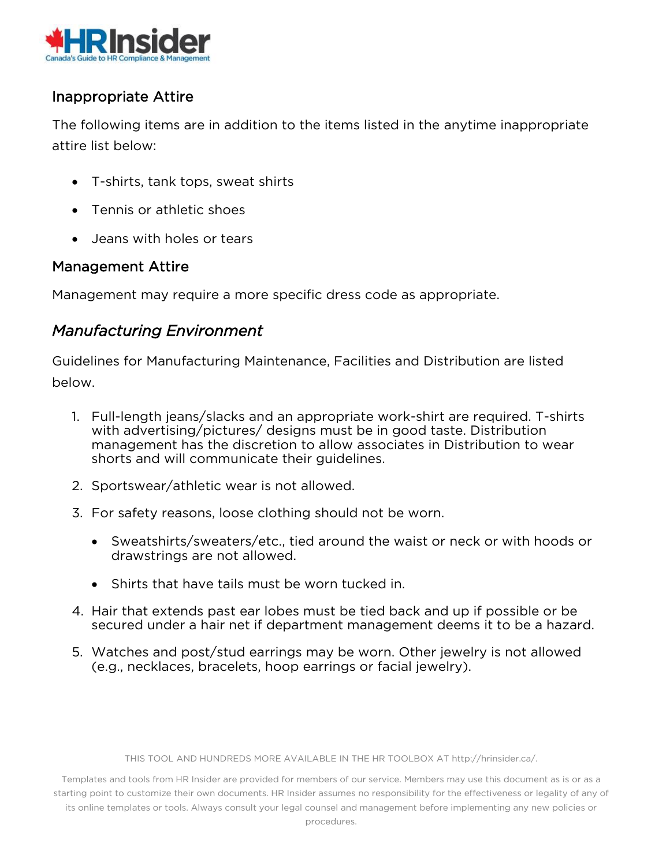

#### Inappropriate Attire

The following items are in addition to the items listed in the anytime inappropriate attire list below:

- T-shirts, tank tops, sweat shirts
- Tennis or athletic shoes
- Jeans with holes or tears

#### Management Attire

Management may require a more specific dress code as appropriate.

#### *Manufacturing Environment*

Guidelines for Manufacturing Maintenance, Facilities and Distribution are listed below.

- 1. Full-length jeans/slacks and an appropriate work-shirt are required. T-shirts with advertising/pictures/ designs must be in good taste. Distribution management has the discretion to allow associates in Distribution to wear shorts and will communicate their guidelines.
- 2. Sportswear/athletic wear is not allowed.
- 3. For safety reasons, loose clothing should not be worn.
	- Sweatshirts/sweaters/etc., tied around the waist or neck or with hoods or drawstrings are not allowed.
	- Shirts that have tails must be worn tucked in.
- 4. Hair that extends past ear lobes must be tied back and up if possible or be secured under a hair net if department management deems it to be a hazard.
- 5. Watches and post/stud earrings may be worn. Other jewelry is not allowed (e.g., necklaces, bracelets, hoop earrings or facial jewelry).

THIS TOOL AND HUNDREDS MORE AVAILABLE IN THE HR TOOLBOX AT http://hrinsider.ca/.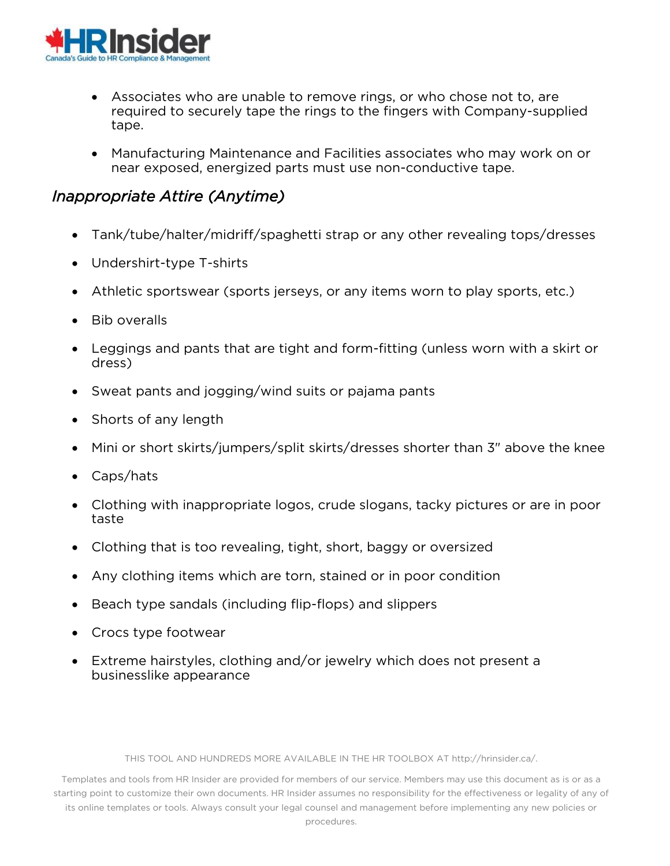

- Associates who are unable to remove rings, or who chose not to, are required to securely tape the rings to the fingers with Company-supplied tape.
- Manufacturing Maintenance and Facilities associates who may work on or near exposed, energized parts must use non-conductive tape.

#### *Inappropriate Attire (Anytime)*

- Tank/tube/halter/midriff/spaghetti strap or any other revealing tops/dresses
- Undershirt-type T-shirts
- Athletic sportswear (sports jerseys, or any items worn to play sports, etc.)
- Bib overalls
- Leggings and pants that are tight and form-fitting (unless worn with a skirt or dress)
- Sweat pants and jogging/wind suits or pajama pants
- Shorts of any length
- Mini or short skirts/jumpers/split skirts/dresses shorter than 3" above the knee
- Caps/hats
- Clothing with inappropriate logos, crude slogans, tacky pictures or are in poor taste
- Clothing that is too revealing, tight, short, baggy or oversized
- Any clothing items which are torn, stained or in poor condition
- Beach type sandals (including flip-flops) and slippers
- Crocs type footwear
- Extreme hairstyles, clothing and/or jewelry which does not present a businesslike appearance

THIS TOOL AND HUNDREDS MORE AVAILABLE IN THE HR TOOLBOX AT http://hrinsider.ca/.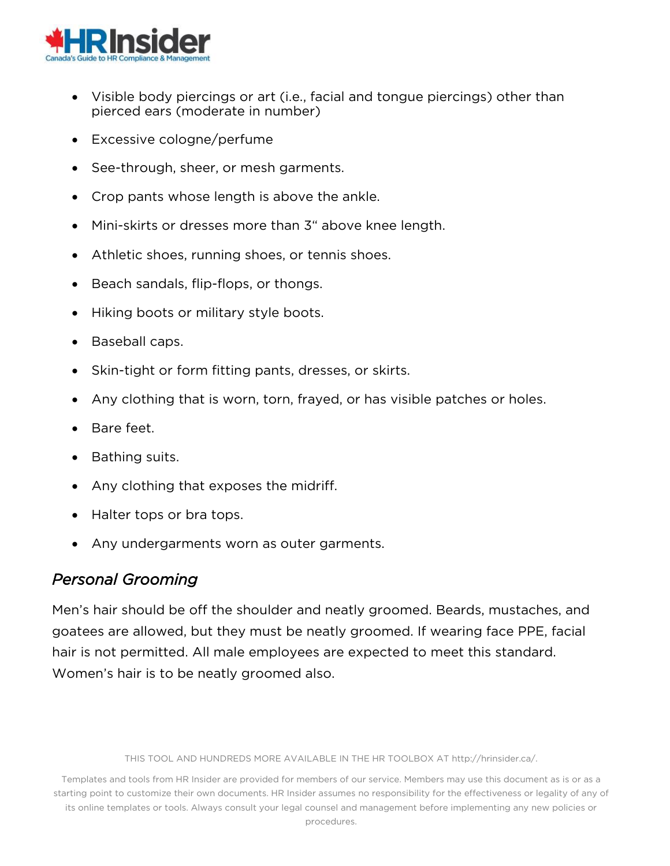

- Visible body piercings or art (i.e., facial and tongue piercings) other than pierced ears (moderate in number)
- Excessive cologne/perfume
- See-through, sheer, or mesh garments.
- Crop pants whose length is above the ankle.
- Mini-skirts or dresses more than 3" above knee length.
- Athletic shoes, running shoes, or tennis shoes.
- Beach sandals, flip-flops, or thongs.
- Hiking boots or military style boots.
- Baseball caps.
- Skin-tight or form fitting pants, dresses, or skirts.
- Any clothing that is worn, torn, frayed, or has visible patches or holes.
- Bare feet.
- Bathing suits.
- Any clothing that exposes the midriff.
- Halter tops or bra tops.
- Any undergarments worn as outer garments.

#### *Personal Grooming*

Men's hair should be off the shoulder and neatly groomed. Beards, mustaches, and goatees are allowed, but they must be neatly groomed. If wearing face PPE, facial hair is not permitted. All male employees are expected to meet this standard. Women's hair is to be neatly groomed also.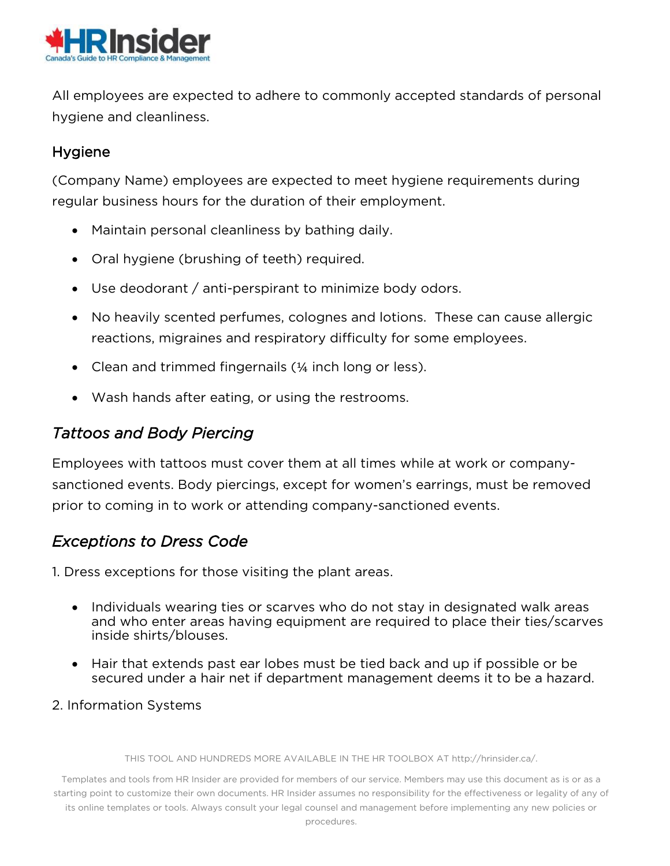

All employees are expected to adhere to commonly accepted standards of personal hygiene and cleanliness.

#### Hygiene

(Company Name) employees are expected to meet hygiene requirements during regular business hours for the duration of their employment.

- Maintain personal cleanliness by bathing daily.
- Oral hygiene (brushing of teeth) required.
- Use deodorant / anti-perspirant to minimize body odors.
- No heavily scented perfumes, colognes and lotions. These can cause allergic reactions, migraines and respiratory difficulty for some employees.
- Clean and trimmed fingernails (1/4 inch long or less).
- Wash hands after eating, or using the restrooms.

#### *Tattoos and Body Piercing*

Employees with tattoos must cover them at all times while at work or companysanctioned events. Body piercings, except for women's earrings, must be removed prior to coming in to work or attending company-sanctioned events.

#### *Exceptions to Dress Code*

1. Dress exceptions for those visiting the plant areas.

- Individuals wearing ties or scarves who do not stay in designated walk areas and who enter areas having equipment are required to place their ties/scarves inside shirts/blouses.
- Hair that extends past ear lobes must be tied back and up if possible or be secured under a hair net if department management deems it to be a hazard.

#### 2. Information Systems

THIS TOOL AND HUNDREDS MORE AVAILABLE IN THE HR TOOLBOX AT http://hrinsider.ca/.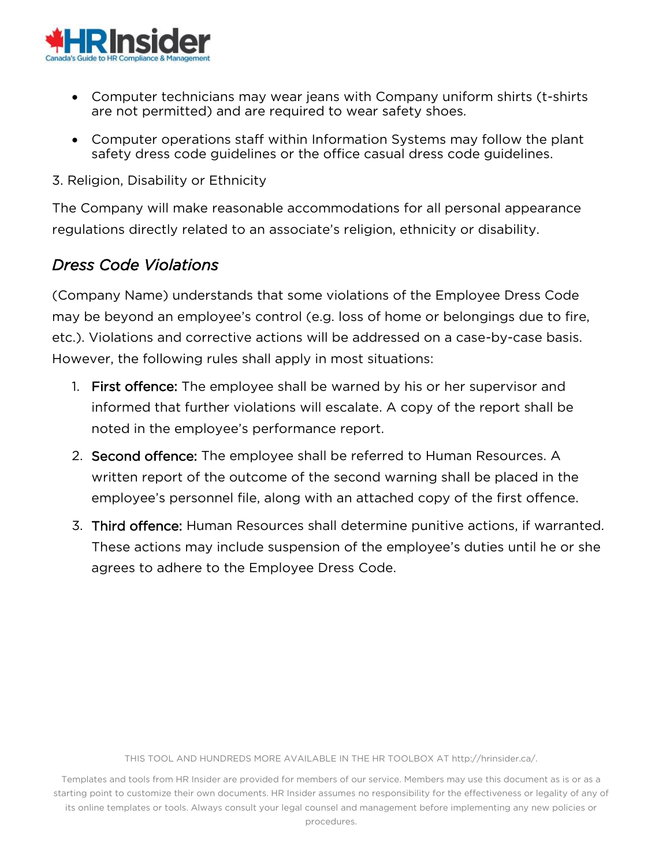

- Computer technicians may wear jeans with Company uniform shirts (t-shirts are not permitted) and are required to wear safety shoes.
- Computer operations staff within Information Systems may follow the plant safety dress code guidelines or the office casual dress code guidelines.
- 3. Religion, Disability or Ethnicity

The Company will make reasonable accommodations for all personal appearance regulations directly related to an associate's religion, ethnicity or disability.

#### *Dress Code Violations*

(Company Name) understands that some violations of the Employee Dress Code may be beyond an employee's control (e.g. loss of home or belongings due to fire, etc.). Violations and corrective actions will be addressed on a case-by-case basis. However, the following rules shall apply in most situations:

- 1. First offence: The employee shall be warned by his or her supervisor and informed that further violations will escalate. A copy of the report shall be noted in the employee's performance report.
- 2. Second offence: The employee shall be referred to Human Resources. A written report of the outcome of the second warning shall be placed in the employee's personnel file, along with an attached copy of the first offence.
- 3. Third offence: Human Resources shall determine punitive actions, if warranted. These actions may include suspension of the employee's duties until he or she agrees to adhere to the Employee Dress Code.

THIS TOOL AND HUNDREDS MORE AVAILABLE IN THE HR TOOLBOX AT http://hrinsider.ca/.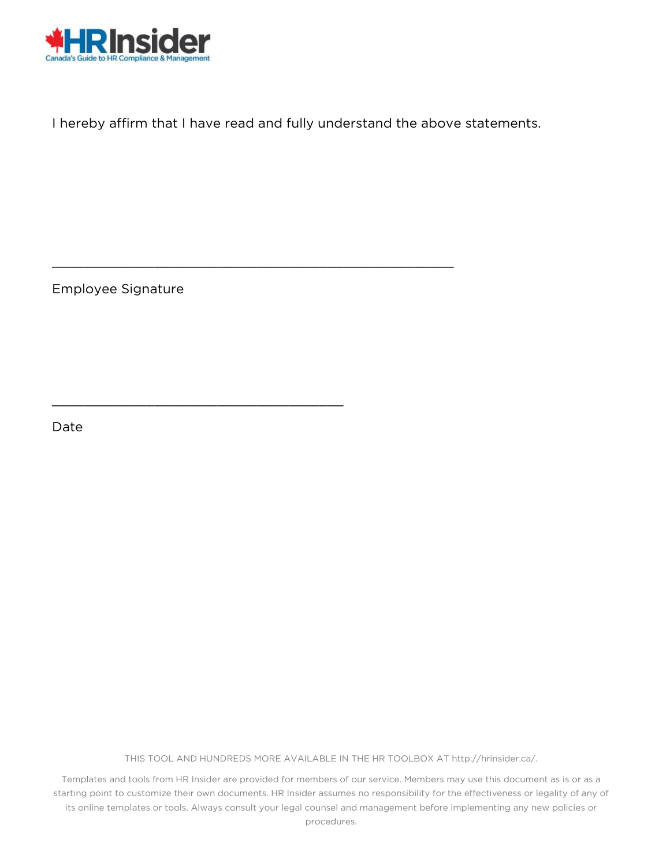

I hereby affirm that I have read and fully understand the above statements.

\_\_\_\_\_\_\_\_\_\_\_\_\_\_\_\_\_\_\_\_\_\_\_\_\_\_\_\_\_\_\_\_\_\_\_\_\_\_\_\_\_\_\_\_\_\_\_\_\_\_\_

\_\_\_\_\_\_\_\_\_\_\_\_\_\_\_\_\_\_\_\_\_\_\_\_\_\_\_\_\_\_\_\_\_\_\_\_\_

Employee Signature

Date

THIS TOOL AND HUNDREDS MORE AVAILABLE IN THE HR TOOLBOX AT http://hrinsider.ca/.